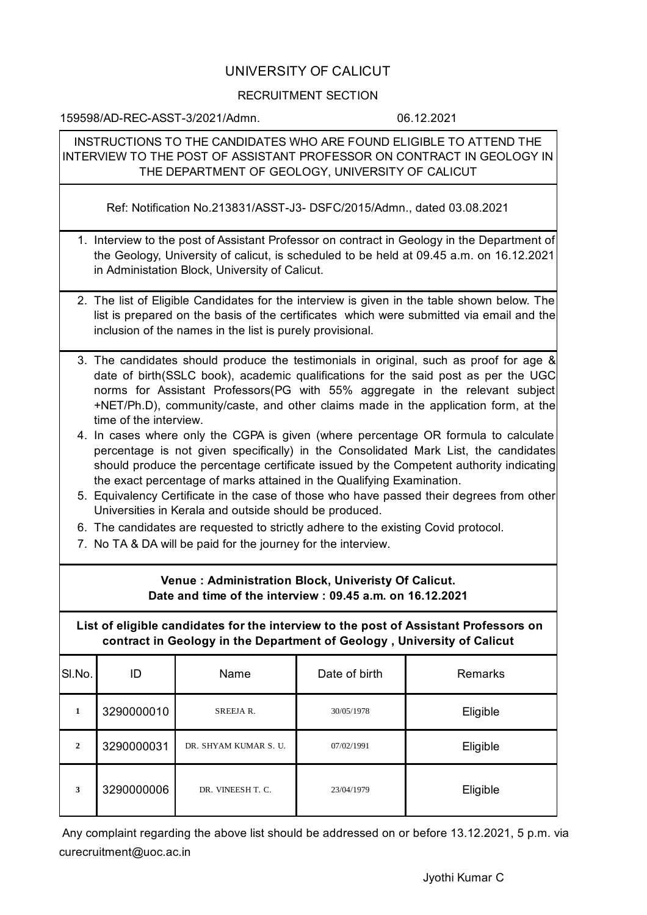## UNIVERSITY OF CALICUT

## RECRUITMENT SECTION

159598/AD-REC-ASST-3/2021/Admn. 06.12.2021

INSTRUCTIONS TO THE CANDIDATES WHO ARE FOUND ELIGIBLE TO ATTEND THE INTERVIEW TO THE POST OF ASSISTANT PROFESSOR ON CONTRACT IN GEOLOGY IN THE DEPARTMENT OF GEOLOGY, UNIVERSITY OF CALICUT

Ref: Notification No.213831/ASST-J3- DSFC/2015/Admn., dated 03.08.2021

- 1. Interview to the post of Assistant Professor on contract in Geology in the Department of the Geology, University of calicut, is scheduled to be held at 09.45 a.m. on 16.12.2021 in Administation Block, University of Calicut.
- 2. The list of Eligible Candidates for the interview is given in the table shown below. The list is prepared on the basis of the certificates which were submitted via email and the inclusion of the names in the list is purely provisional.
- 3. The candidates should produce the testimonials in original, such as proof for age & date of birth(SSLC book), academic qualifications for the said post as per the UGC norms for Assistant Professors(PG with 55% aggregate in the relevant subject +NET/Ph.D), community/caste, and other claims made in the application form, at the time of the interview.
- 4. In cases where only the CGPA is given (where percentage OR formula to calculate percentage is not given specifically) in the Consolidated Mark List, the candidates should produce the percentage certificate issued by the Competent authority indicating the exact percentage of marks attained in the Qualifying Examination.
- 5. Equivalency Certificate in the case of those who have passed their degrees from other Universities in Kerala and outside should be produced.
- 6. The candidates are requested to strictly adhere to the existing Covid protocol.
- 7. No TA & DA will be paid for the journey for the interview.

## **Venue : Administration Block, Univeristy Of Calicut. Date and time of the interview : 09.45 a.m. on 16.12.2021**

**List of eligible candidates for the interview to the post of Assistant Professors on contract in Geology in the Department of Geology , University of Calicut**

| SI.No.         | ID         | Name                  | Date of birth | <b>Remarks</b> |
|----------------|------------|-----------------------|---------------|----------------|
| 1              | 3290000010 | SREEJAR.              | 30/05/1978    | Eligible       |
| $\overline{2}$ | 3290000031 | DR. SHYAM KUMAR S. U. | 07/02/1991    | Eligible       |
| 3              | 3290000006 | DR. VINEESH T. C.     | 23/04/1979    | Eligible       |

Any complaint regarding the above list should be addressed on or before 13.12.2021, 5 p.m. via curecruitment@uoc.ac.in